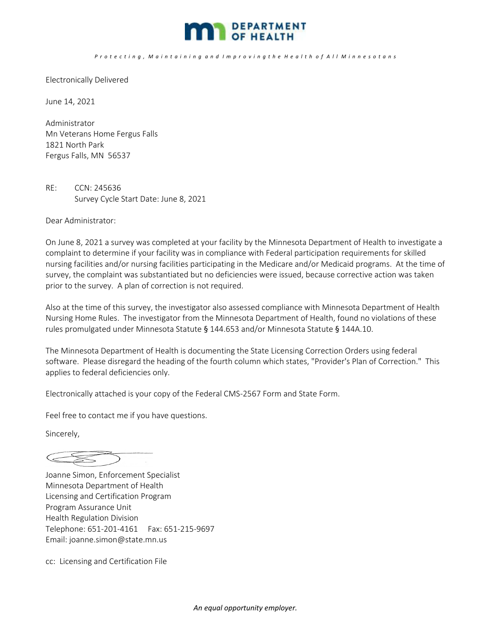

## Protecting, Maintaining and Improving the Health of All Minnesotans

Electronically Delivered

June 14, 2021

Administrator Mn Veterans Home Fergus Falls 1821 North Park Fergus Falls, MN 56537

RE: CCN: 245636 Survey Cycle Start Date: June 8, 2021

Dear Administrator:

On June 8, 2021 a survey was completed at your facility by the Minnesota Department of Health to investigate a complaint to determine if your facility was in compliance with Federal participation requirements for skilled nursing facilities and/or nursing facilities participating in the Medicare and/or Medicaid programs. At the time of survey, the complaint was substantiated but no deficiencies were issued, because corrective action was taken prior to the survey. A plan of correction is not required.

Also at the time of this survey, the investigator also assessed compliance with Minnesota Department of Health Nursing Home Rules. The investigator from the Minnesota Department of Health, found no violations of these rules promulgated under Minnesota Statute § 144.653 and/or Minnesota Statute § 144A.10.

The Minnesota Department of Health is documenting the State Licensing Correction Orders using federal software. Please disregard the heading of the fourth column which states, "Provider's Plan of Correction." This applies to federal deficiencies only.

Electronically attached is your copy of the Federal CMS‐2567 Form and State Form.

Feel free to contact me if you have questions.

Sincerely,

 $\begin{picture}(220,20) \put(0,0){\dashbox{0.5}(5,0){ }} \put(15,0){\circle{10}} \put(15,0){\circle{10}} \put(15,0){\circle{10}} \put(15,0){\circle{10}} \put(15,0){\circle{10}} \put(15,0){\circle{10}} \put(15,0){\circle{10}} \put(15,0){\circle{10}} \put(15,0){\circle{10}} \put(15,0){\circle{10}} \put(15,0){\circle{10}} \put(15,0){\circle{10}} \put(15,0){\circle{10}} \put(15,$ 

Joanne Simon, Enforcement Specialist Minnesota Department of Health Licensing and Certification Program Program Assurance Unit Health Regulation Division Telephone: 651‐201‐4161 Fax: 651‐215‐9697 Email: joanne.simon@state.mn.us

cc: Licensing and Certification File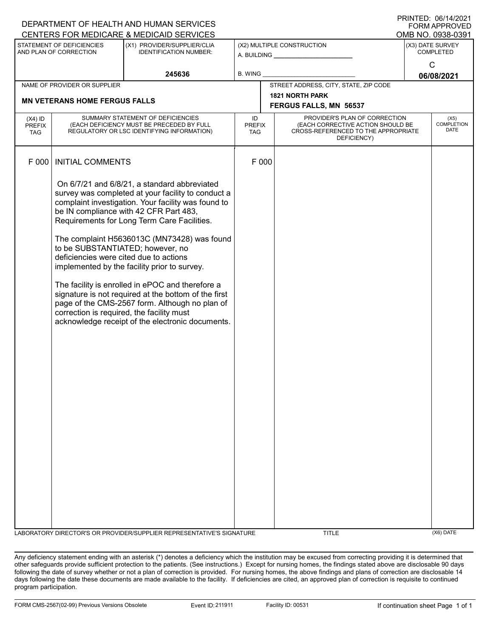| DEPARTMENT OF HEALTH AND HUMAN SERVICES<br><b>FORM APPROVED</b> |                                                                                                                              |                                                                                                                                                                                                                                                                                                                                                                                                                                                                                                                                                                     |                                                  |                                                                                                                          |                               |  |                            |  |
|-----------------------------------------------------------------|------------------------------------------------------------------------------------------------------------------------------|---------------------------------------------------------------------------------------------------------------------------------------------------------------------------------------------------------------------------------------------------------------------------------------------------------------------------------------------------------------------------------------------------------------------------------------------------------------------------------------------------------------------------------------------------------------------|--------------------------------------------------|--------------------------------------------------------------------------------------------------------------------------|-------------------------------|--|----------------------------|--|
| CENTERS FOR MEDICARE & MEDICAID SERVICES<br>OMB NO. 0938-0391   |                                                                                                                              |                                                                                                                                                                                                                                                                                                                                                                                                                                                                                                                                                                     |                                                  |                                                                                                                          |                               |  |                            |  |
| STATEMENT OF DEFICIENCIES<br>AND PLAN OF CORRECTION             |                                                                                                                              | (X1) PROVIDER/SUPPLIER/CLIA<br><b>IDENTIFICATION NUMBER:</b>                                                                                                                                                                                                                                                                                                                                                                                                                                                                                                        | (X2) MULTIPLE CONSTRUCTION                       |                                                                                                                          | (X3) DATE SURVEY<br>COMPLETED |  |                            |  |
|                                                                 |                                                                                                                              | 245636                                                                                                                                                                                                                                                                                                                                                                                                                                                                                                                                                              |                                                  | B. WING                                                                                                                  |                               |  | C<br>06/08/2021            |  |
|                                                                 | NAME OF PROVIDER OR SUPPLIER                                                                                                 |                                                                                                                                                                                                                                                                                                                                                                                                                                                                                                                                                                     | STREET ADDRESS, CITY, STATE, ZIP CODE            |                                                                                                                          |                               |  |                            |  |
| <b>MN VETERANS HOME FERGUS FALLS</b>                            |                                                                                                                              |                                                                                                                                                                                                                                                                                                                                                                                                                                                                                                                                                                     | <b>1821 NORTH PARK</b><br>FERGUS FALLS, MN 56537 |                                                                                                                          |                               |  |                            |  |
| $(X4)$ ID<br><b>PREFIX</b><br><b>TAG</b>                        | SUMMARY STATEMENT OF DEFICIENCIES<br>(EACH DEFICIENCY MUST BE PRECEDED BY FULL<br>REGULATORY OR LSC IDENTIFYING INFORMATION) |                                                                                                                                                                                                                                                                                                                                                                                                                                                                                                                                                                     | ID<br><b>PREFIX</b><br>TAG                       | PROVIDER'S PLAN OF CORRECTION<br>(EACH CORRECTIVE ACTION SHOULD BE<br>CROSS-REFERENCED TO THE APPROPRIATE<br>DEFICIENCY) |                               |  | (X5)<br>COMPLETION<br>DATE |  |
| F 000                                                           | <b>INITIAL COMMENTS</b>                                                                                                      |                                                                                                                                                                                                                                                                                                                                                                                                                                                                                                                                                                     | F 000                                            |                                                                                                                          |                               |  |                            |  |
|                                                                 | to be SUBSTANTIATED; however, no<br>deficiencies were cited due to actions<br>correction is required, the facility must      | On 6/7/21 and 6/8/21, a standard abbreviated<br>survey was completed at your facility to conduct a<br>complaint investigation. Your facility was found to<br>be IN compliance with 42 CFR Part 483,<br>Requirements for Long Term Care Facilities.<br>The complaint H5636013C (MN73428) was found<br>implemented by the facility prior to survey.<br>The facility is enrolled in ePOC and therefore a<br>signature is not required at the bottom of the first<br>page of the CMS-2567 form. Although no plan of<br>acknowledge receipt of the electronic documents. |                                                  |                                                                                                                          |                               |  |                            |  |
|                                                                 |                                                                                                                              | LABORATORY DIRECTOR'S OR PROVIDER/SUPPLIER REPRESENTATIVE'S SIGNATURE                                                                                                                                                                                                                                                                                                                                                                                                                                                                                               |                                                  |                                                                                                                          | <b>TITLE</b>                  |  | $(X6)$ DATE                |  |

Any deficiency statement ending with an asterisk (\*) denotes a deficiency which the institution may be excused from correcting providing it is determined that other safeguards provide sufficient protection to the patients. (See instructions.) Except for nursing homes, the findings stated above are disclosable 90 days following the date of survey whether or not a plan of correction is provided. For nursing homes, the above findings and plans of correction are disclosable 14 days following the date these documents are made available to the facility. If deficiencies are cited, an approved plan of correction is requisite to continued program participation.

PRINTED: 06/14/2021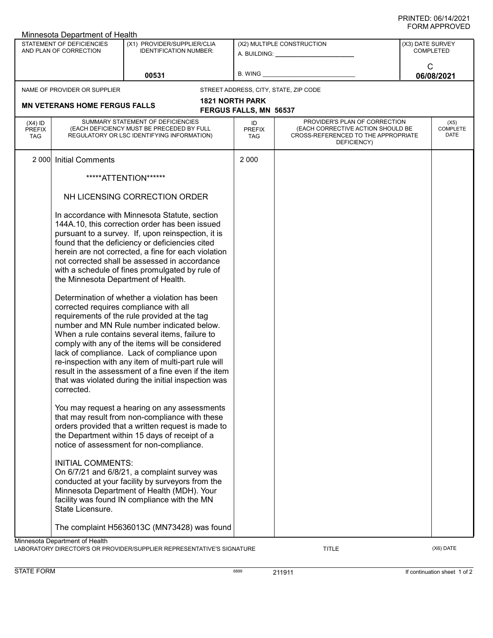| Minnesota Department of Health                      |                                                                                                                                                                                                                                                                                                                                                                                                                                                                                                                                                       |                                                                                                                                                                                                                                                                                                                                                                     |                                                         |                                                                                                                          |                                      |                                 |  |  |
|-----------------------------------------------------|-------------------------------------------------------------------------------------------------------------------------------------------------------------------------------------------------------------------------------------------------------------------------------------------------------------------------------------------------------------------------------------------------------------------------------------------------------------------------------------------------------------------------------------------------------|---------------------------------------------------------------------------------------------------------------------------------------------------------------------------------------------------------------------------------------------------------------------------------------------------------------------------------------------------------------------|---------------------------------------------------------|--------------------------------------------------------------------------------------------------------------------------|--------------------------------------|---------------------------------|--|--|
| STATEMENT OF DEFICIENCIES<br>AND PLAN OF CORRECTION |                                                                                                                                                                                                                                                                                                                                                                                                                                                                                                                                                       | (X1) PROVIDER/SUPPLIER/CLIA<br><b>IDENTIFICATION NUMBER:</b>                                                                                                                                                                                                                                                                                                        |                                                         | (X2) MULTIPLE CONSTRUCTION<br>A. BUILDING: A. BUILDING:                                                                  | (X3) DATE SURVEY<br><b>COMPLETED</b> |                                 |  |  |
|                                                     |                                                                                                                                                                                                                                                                                                                                                                                                                                                                                                                                                       | 00531                                                                                                                                                                                                                                                                                                                                                               | B. WING                                                 |                                                                                                                          | C                                    | 06/08/2021                      |  |  |
|                                                     | NAME OF PROVIDER OR SUPPLIER                                                                                                                                                                                                                                                                                                                                                                                                                                                                                                                          |                                                                                                                                                                                                                                                                                                                                                                     |                                                         | STREET ADDRESS, CITY, STATE, ZIP CODE                                                                                    |                                      |                                 |  |  |
|                                                     | <b>MN VETERANS HOME FERGUS FALLS</b>                                                                                                                                                                                                                                                                                                                                                                                                                                                                                                                  |                                                                                                                                                                                                                                                                                                                                                                     | <b>1821 NORTH PARK</b><br><b>FERGUS FALLS, MN 56537</b> |                                                                                                                          |                                      |                                 |  |  |
| $(X4)$ ID<br><b>PREFIX</b><br><b>TAG</b>            | SUMMARY STATEMENT OF DEFICIENCIES<br>(EACH DEFICIENCY MUST BE PRECEDED BY FULL<br>REGULATORY OR LSC IDENTIFYING INFORMATION)                                                                                                                                                                                                                                                                                                                                                                                                                          |                                                                                                                                                                                                                                                                                                                                                                     | ID<br><b>PREFIX</b><br><b>TAG</b>                       | PROVIDER'S PLAN OF CORRECTION<br>(EACH CORRECTIVE ACTION SHOULD BE<br>CROSS-REFERENCED TO THE APPROPRIATE<br>DEFICIENCY) |                                      | (X5)<br><b>COMPLETE</b><br>DATE |  |  |
| 2 0 0 0                                             | <b>Initial Comments</b>                                                                                                                                                                                                                                                                                                                                                                                                                                                                                                                               |                                                                                                                                                                                                                                                                                                                                                                     | 2 0 0 0                                                 |                                                                                                                          |                                      |                                 |  |  |
|                                                     |                                                                                                                                                                                                                                                                                                                                                                                                                                                                                                                                                       | *****ATTENTION******                                                                                                                                                                                                                                                                                                                                                |                                                         |                                                                                                                          |                                      |                                 |  |  |
|                                                     | NH LICENSING CORRECTION ORDER                                                                                                                                                                                                                                                                                                                                                                                                                                                                                                                         |                                                                                                                                                                                                                                                                                                                                                                     |                                                         |                                                                                                                          |                                      |                                 |  |  |
|                                                     | In accordance with Minnesota Statute, section<br>144A.10, this correction order has been issued<br>pursuant to a survey. If, upon reinspection, it is<br>found that the deficiency or deficiencies cited<br>herein are not corrected, a fine for each violation<br>not corrected shall be assessed in accordance<br>with a schedule of fines promulgated by rule of<br>the Minnesota Department of Health.<br>Determination of whether a violation has been<br>corrected requires compliance with all<br>requirements of the rule provided at the tag |                                                                                                                                                                                                                                                                                                                                                                     |                                                         |                                                                                                                          |                                      |                                 |  |  |
|                                                     | corrected.                                                                                                                                                                                                                                                                                                                                                                                                                                                                                                                                            | number and MN Rule number indicated below.<br>When a rule contains several items, failure to<br>comply with any of the items will be considered<br>lack of compliance. Lack of compliance upon<br>re-inspection with any item of multi-part rule will<br>result in the assessment of a fine even if the item<br>that was violated during the initial inspection was |                                                         |                                                                                                                          |                                      |                                 |  |  |
|                                                     |                                                                                                                                                                                                                                                                                                                                                                                                                                                                                                                                                       | You may request a hearing on any assessments<br>that may result from non-compliance with these<br>orders provided that a written request is made to<br>the Department within 15 days of receipt of a<br>notice of assessment for non-compliance.                                                                                                                    |                                                         |                                                                                                                          |                                      |                                 |  |  |
|                                                     | <b>INITIAL COMMENTS:</b><br>State Licensure.                                                                                                                                                                                                                                                                                                                                                                                                                                                                                                          | On 6/7/21 and 6/8/21, a complaint survey was<br>conducted at your facility by surveyors from the<br>Minnesota Department of Health (MDH). Your<br>facility was found IN compliance with the MN                                                                                                                                                                      |                                                         |                                                                                                                          |                                      |                                 |  |  |
|                                                     |                                                                                                                                                                                                                                                                                                                                                                                                                                                                                                                                                       | The complaint H5636013C (MN73428) was found                                                                                                                                                                                                                                                                                                                         |                                                         |                                                                                                                          |                                      |                                 |  |  |
|                                                     | Minnesota Department of Health                                                                                                                                                                                                                                                                                                                                                                                                                                                                                                                        |                                                                                                                                                                                                                                                                                                                                                                     |                                                         |                                                                                                                          |                                      |                                 |  |  |

LABORATORY DIRECTOR'S OR PROVIDER/SUPPLIER REPRESENTATIVE'S SIGNATURE TITLE TITLE (X6) DATE